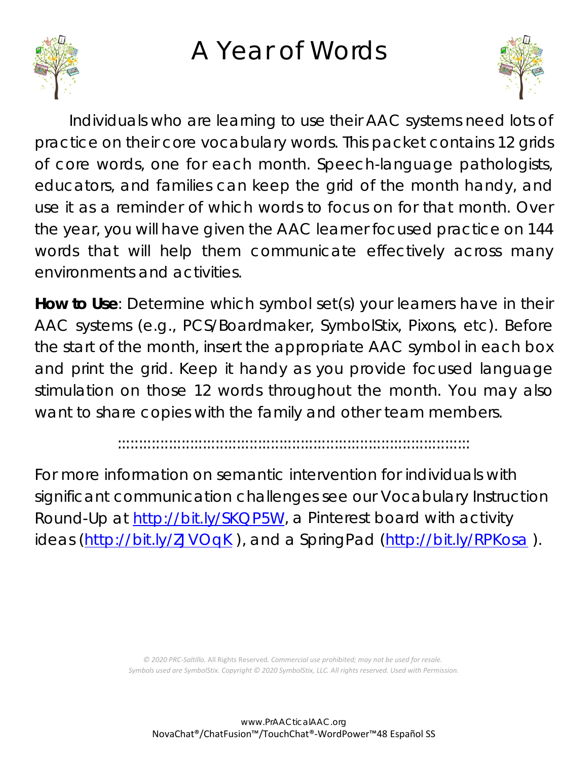## A Year of Words





Individuals who are learning to use their AAC systems need lots of practice on their core vocabulary words. This packet contains 12 grids of core words, one for each month. Speech-language pathologists, educators, and families can keep the grid of the month handy, and use it as a reminder of which words to focus on for that month. Over the year, you will have given the AAC learner focused practice on 144 words that will help them communicate effectively across many environments and activities.

**How to Use**: Determine which symbol set(s) your learners have in their AAC systems (e.g., PCS/Boardmaker, SymbolStix, Pixons, etc). Before the start of the month, insert the appropriate AAC symbol in each box and print the grid. Keep it handy as you provide focused language stimulation on those 12 words throughout the month. You may also want to share copies with the family and other team members.

:::::::::::::::::::::::::::::::::::::::::::::::::::::::::::::::::::::::::::::::::::

For more information on semantic intervention for individuals with significant communication challenges see our Vocabulary Instruction Round-Up at [http://bit.ly/SKQP5W,](http://bit.ly/SKQP5W) a Pinterest board with activity ideas [\(http://bit.ly/ZJVOqK](http://bit.ly/ZJVOqK)), and a SpringPad [\(http://bit.ly/RPKosa](http://bit.ly/RPKosa)).

> *© 2020 PRC-Saltillo.* All Rights Reserved. *Commercial use prohibited; may not be used for resale. Symbols used are SymbolStix. Copyright © 2020 SymbolStix, LLC. All rights reserved. Used with Permission.*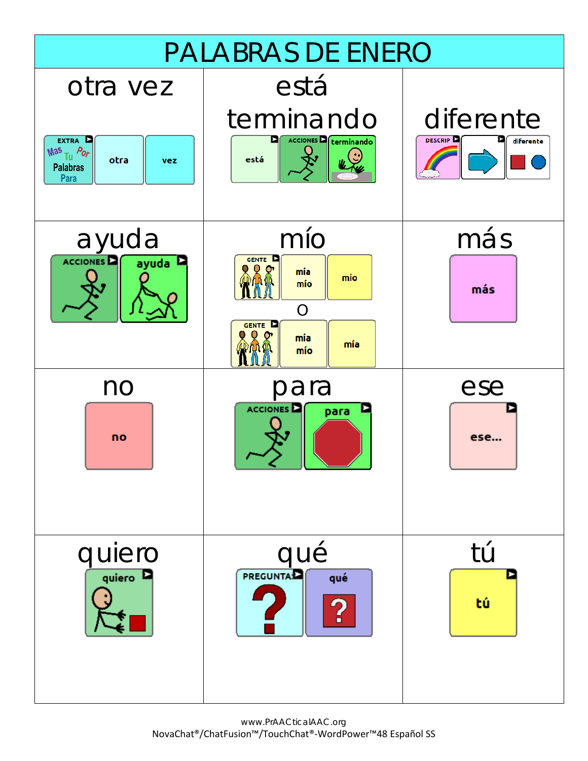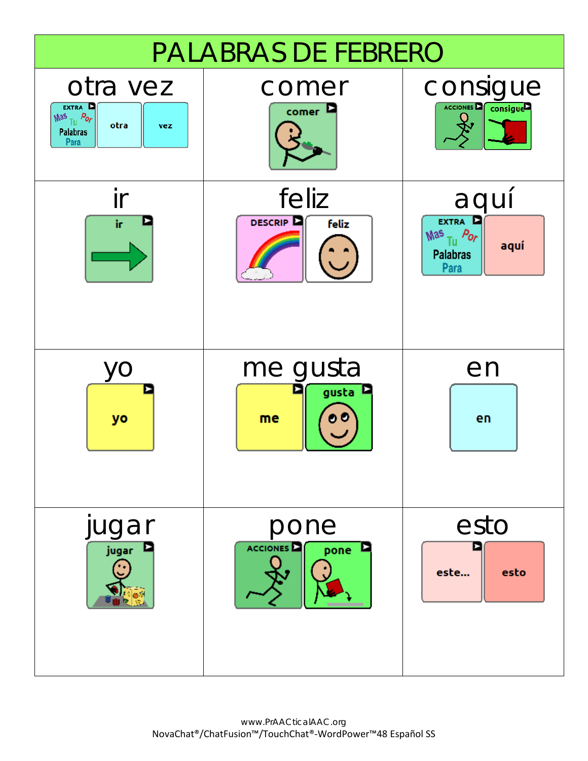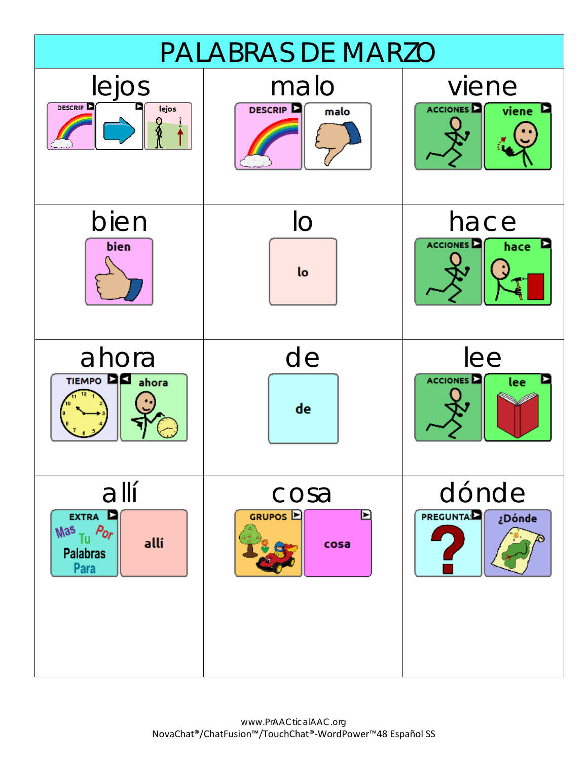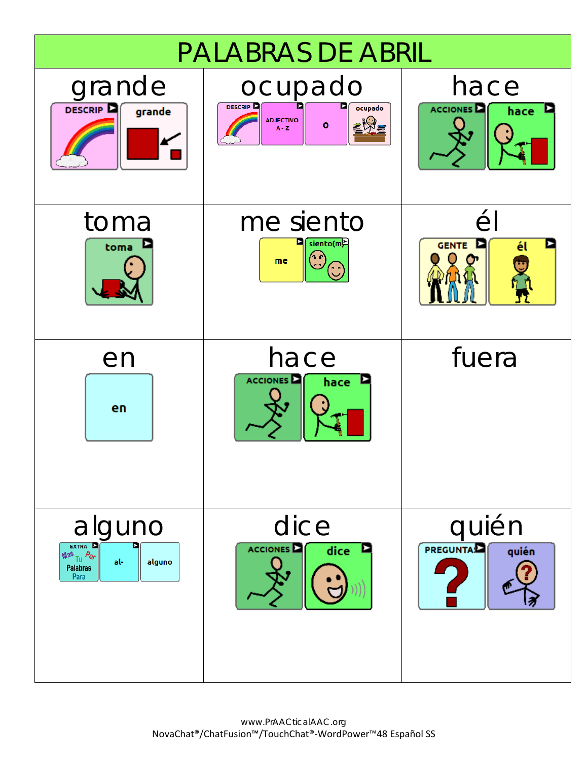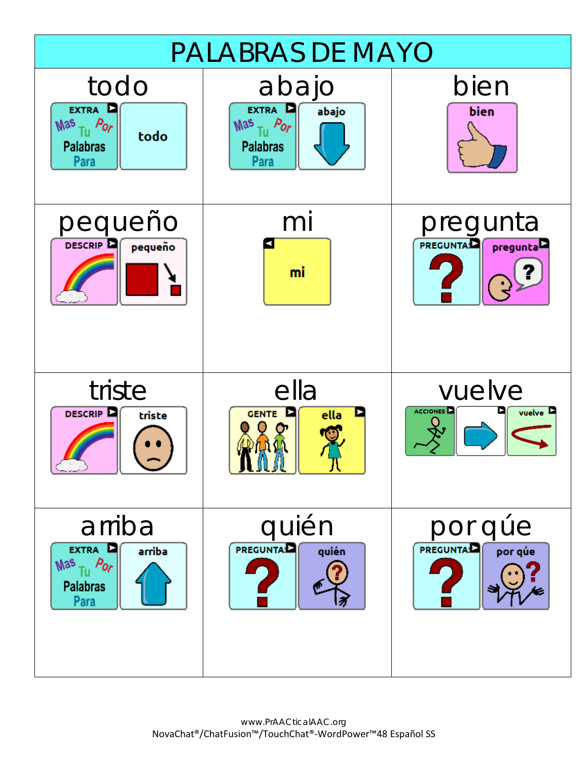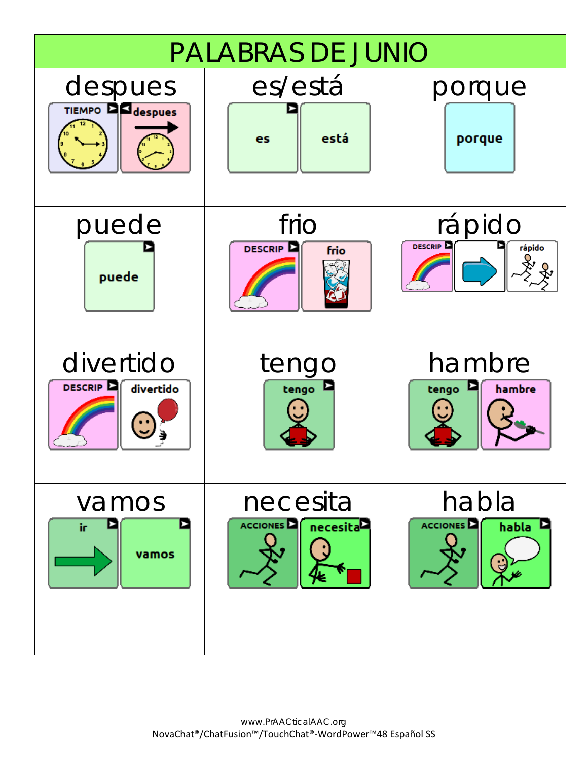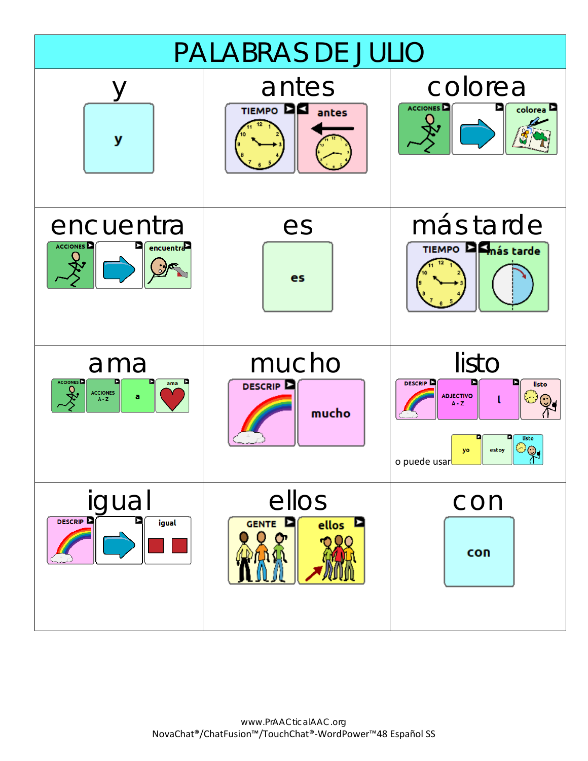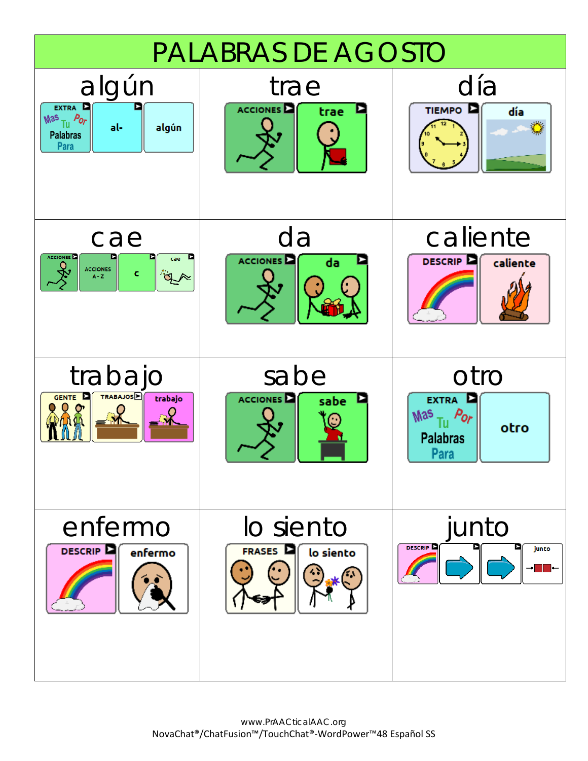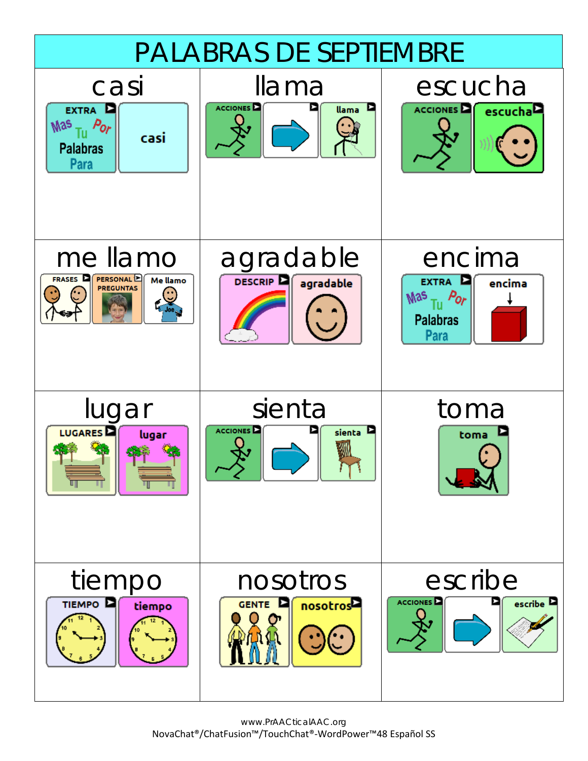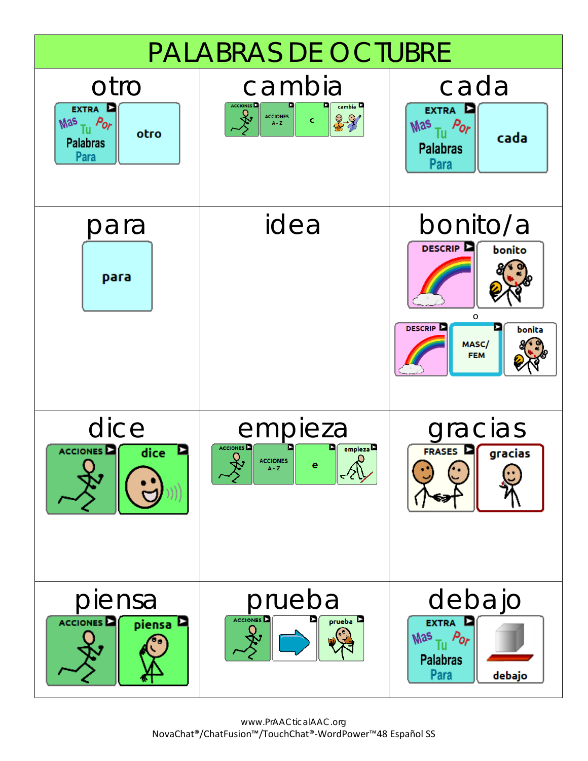

www.PrAACticalAAC.org NovaChat®/ChatFusion™/TouchChat®-WordPower™48 Español SS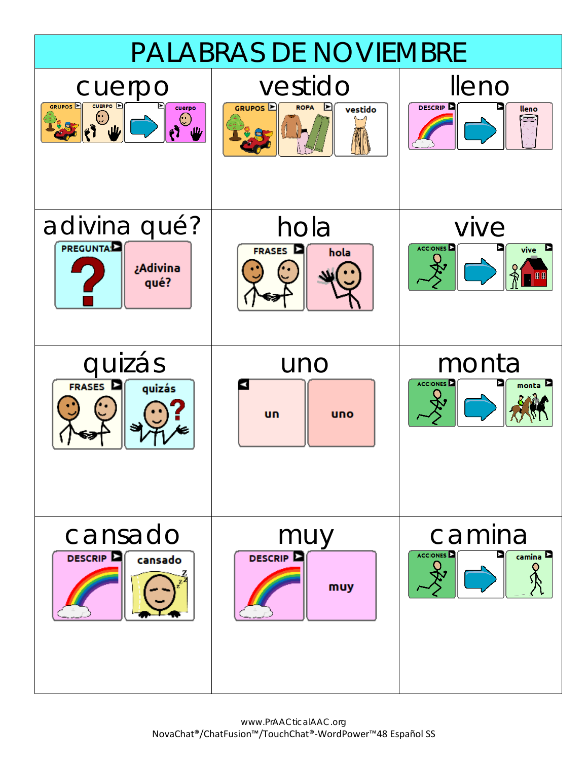